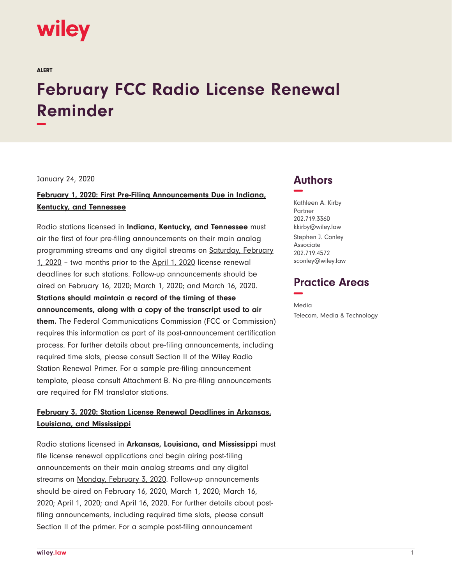# wiley

ALERT

## **February FCC Radio License Renewal Reminder −**

January 24, 2020

#### **February 1, 2020: First Pre-Filing Announcements Due in Indiana, Kentucky, and Tennessee**

Radio stations licensed in **Indiana, Kentucky, and Tennessee** must air the first of four pre-filing announcements on their main analog programming streams and any digital streams on Saturday, February 1, 2020 – two months prior to the April 1, 2020 license renewal deadlines for such stations. Follow-up announcements should be aired on February 16, 2020; March 1, 2020; and March 16, 2020. **Stations should maintain a record of the timing of these announcements, along with a copy of the transcript used to air them.** The Federal Communications Commission (FCC or Commission) requires this information as part of its post-announcement certification process. For further details about pre-filing announcements, including required time slots, please consult Section II of the Wiley Radio Station Renewal Primer. For a sample pre-filing announcement template, please consult Attachment B. No pre-filing announcements are required for FM translator stations.

#### **February 3, 2020: Station License Renewal Deadlines in Arkansas, Louisiana, and Mississippi**

Radio stations licensed in **Arkansas, Louisiana, and Mississippi** must file license renewal applications and begin airing post-filing announcements on their main analog streams and any digital streams on Monday, February 3, 2020. Follow-up announcements should be aired on February 16, 2020, March 1, 2020; March 16, 2020; April 1, 2020; and April 16, 2020. For further details about postfiling announcements, including required time slots, please consult Section II of the primer. For a sample post-filing announcement

### **Authors −**

Kathleen A. Kirby Partner 202.719.3360 kkirby@wiley.law Stephen J. Conley Associate 202.719.4572 sconley@wiley.law

#### **Practice Areas −**

Media Telecom, Media & Technology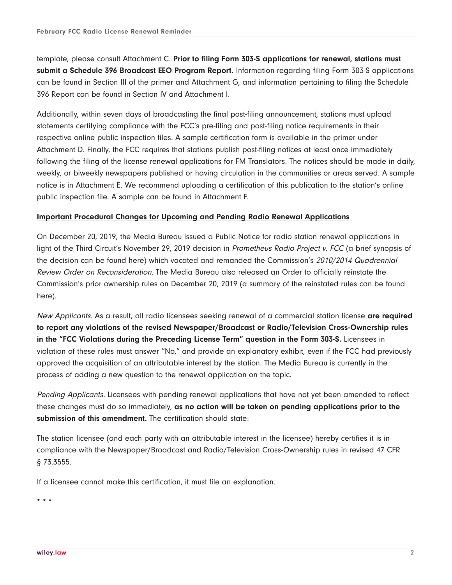template, please consult Attachment C. **Prior to filing Form 303-S applications for renewal, stations must submit a Schedule 396 Broadcast EEO Program Report.** Information regarding filing Form 303-S applications can be found in Section III of the primer and Attachment G, and information pertaining to filing the Schedule 396 Report can be found in Section IV and Attachment I.

Additionally, within seven days of broadcasting the final post-filing announcement, stations must upload statements certifying compliance with the FCC's pre-filing and post-filing notice requirements in their respective online public inspection files. A sample certification form is available in the primer under Attachment D. Finally, the FCC requires that stations publish post-filing notices at least once immediately following the filing of the license renewal applications for FM Translators. The notices should be made in daily, weekly, or biweekly newspapers published or having circulation in the communities or areas served. A sample notice is in Attachment E. We recommend uploading a certification of this publication to the station's online public inspection file. A sample can be found in Attachment F.

#### **Important Procedural Changes for Upcoming and Pending Radio Renewal Applications**

On December 20, 2019, the Media Bureau issued a Public Notice for radio station renewal applications in light of the Third Circuit's November 29, 2019 decision in Prometheus Radio Project v. FCC (a brief synopsis of the decision can be found here) which vacated and remanded the Commission's 2010/2014 Quadrennial Review Order on Reconsideration. The Media Bureau also released an Order to officially reinstate the Commission's prior ownership rules on December 20, 2019 (a summary of the reinstated rules can be found here).

New Applicants. As a result, all radio licensees seeking renewal of a commercial station license **are required to report any violations of the revised Newspaper/Broadcast or Radio/Television Cross-Ownership rules in the "FCC Violations during the Preceding License Term" question in the Form 303-S.** Licensees in violation of these rules must answer "No," and provide an explanatory exhibit, even if the FCC had previously approved the acquisition of an attributable interest by the station. The Media Bureau is currently in the process of adding a new question to the renewal application on the topic.

Pending Applicants. Licensees with pending renewal applications that have not yet been amended to reflect these changes must do so immediately, **as no action will be taken on pending applications prior to the submission of this amendment.** The certification should state:

The station licensee (and each party with an attributable interest in the licensee) hereby certifies it is in compliance with the Newspaper/Broadcast and Radio/Television Cross-Ownership rules in revised 47 CFR § 73.3555.

If a licensee cannot make this certification, it must file an explanation.

**\* \* \***